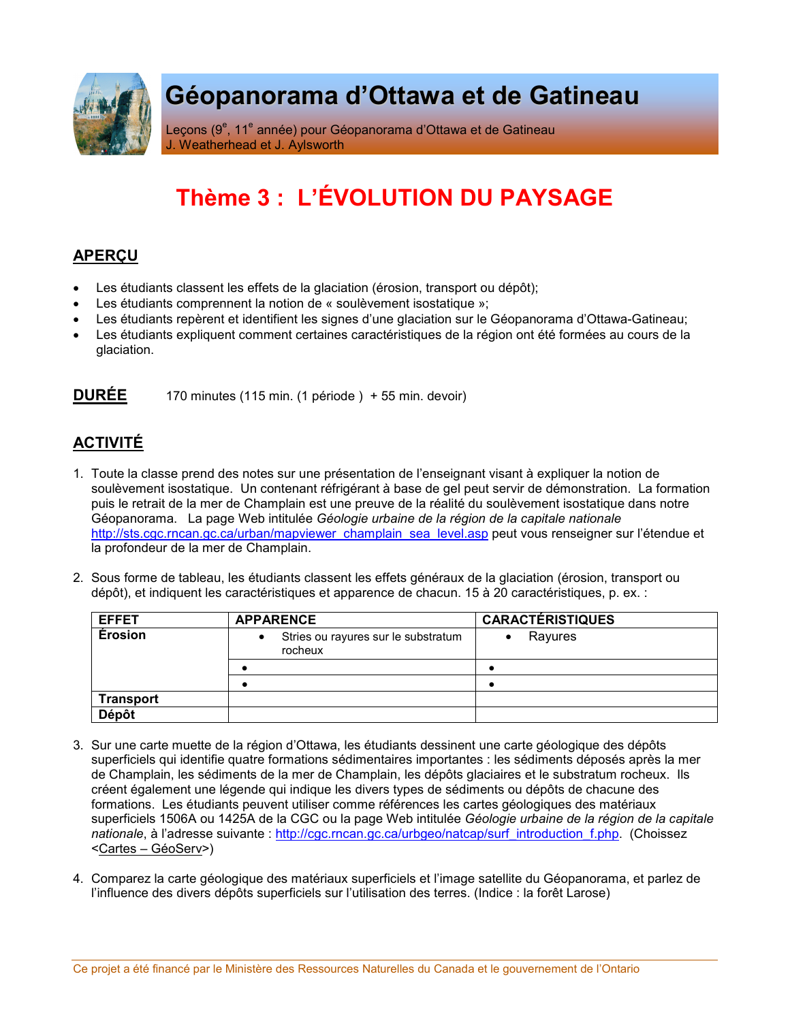

## Géopanorama d'Ottawa et de Gatineau

Leçons (9<sup>e</sup>, 11<sup>e</sup> année) pour Géopanorama d'Ottawa et de Gatineau J. Weatherhead et J. Aylsworth

## Thème 3 : L'ÉVOLUTION DU PAYSAGE

## **APERCU**

- Les étudiants classent les effets de la glaciation (érosion, transport ou dépôt);
- Les étudiants comprennent la notion de « soulèvement isostatique »;
- Les étudiants repèrent et identifient les signes d'une glaciation sur le Géopanorama d'Ottawa-Gatineau;
- Les étudiants expliquent comment certaines caractéristiques de la région ont été formées au cours de la glaciation.

**DURÉE** 170 minutes (115 min. (1 période) + 55 min. devoir)

## **ACTIVITÉ**

- 1. Toute la classe prend des notes sur une présentation de l'enseignant visant à expliquer la notion de soulèvement isostatique. Un contenant réfrigérant à base de gel peut servir de démonstration. La formation puis le retrait de la mer de Champlain est une preuve de la réalité du soulèvement isostatique dans notre Géopanorama. La page Web intitulée Géologie urbaine de la région de la capitale nationale http://sts.cgc.rncan.gc.ca/urban/mapyiewer\_champlain\_sea\_level.asp peut vous renseigner sur l'étendue et la profondeur de la mer de Champlain.
- 2. Sous forme de tableau, les étudiants classent les effets généraux de la glaciation (érosion, transport ou dépôt), et indiquent les caractéristiques et apparence de chacun. 15 à 20 caractéristiques, p. ex. :

| <b>EFFET</b>     | <b>APPARENCE</b>                                    | <b>CARACTÉRISTIQUES</b> |
|------------------|-----------------------------------------------------|-------------------------|
| Érosion          | Stries ou rayures sur le substratum<br>٠<br>rocheux | Rayures                 |
|                  |                                                     |                         |
|                  |                                                     |                         |
| <b>Transport</b> |                                                     |                         |
| Dépôt            |                                                     |                         |

- 3. Sur une carte muette de la région d'Ottawa, les étudiants dessinent une carte géologique des dépôts superficiels qui identifie quatre formations sédimentaires importantes : les sédiments déposés après la mer de Champlain, les sédiments de la mer de Champlain, les dépôts glaciaires et le substratum rocheux. Ils créent également une légende qui indique les divers types de sédiments ou dépôts de chacune des formations. Les étudiants peuvent utiliser comme références les cartes géologiques des matériaux superficiels 1506A ou 1425A de la CGC ou la page Web intitulée Géologie urbaine de la région de la capitale nationale, à l'adresse suivante : http://cgc.rncan.gc.ca/urbgeo/natcap/surf introduction f.php. (Choissez <Cartes - GéoServ>)
- 4. Comparez la carte géologique des matériaux superficiels et l'image satellite du Géopanorama, et parlez de l'influence des divers dépôts superficiels sur l'utilisation des terres. (Indice : la forêt Larose)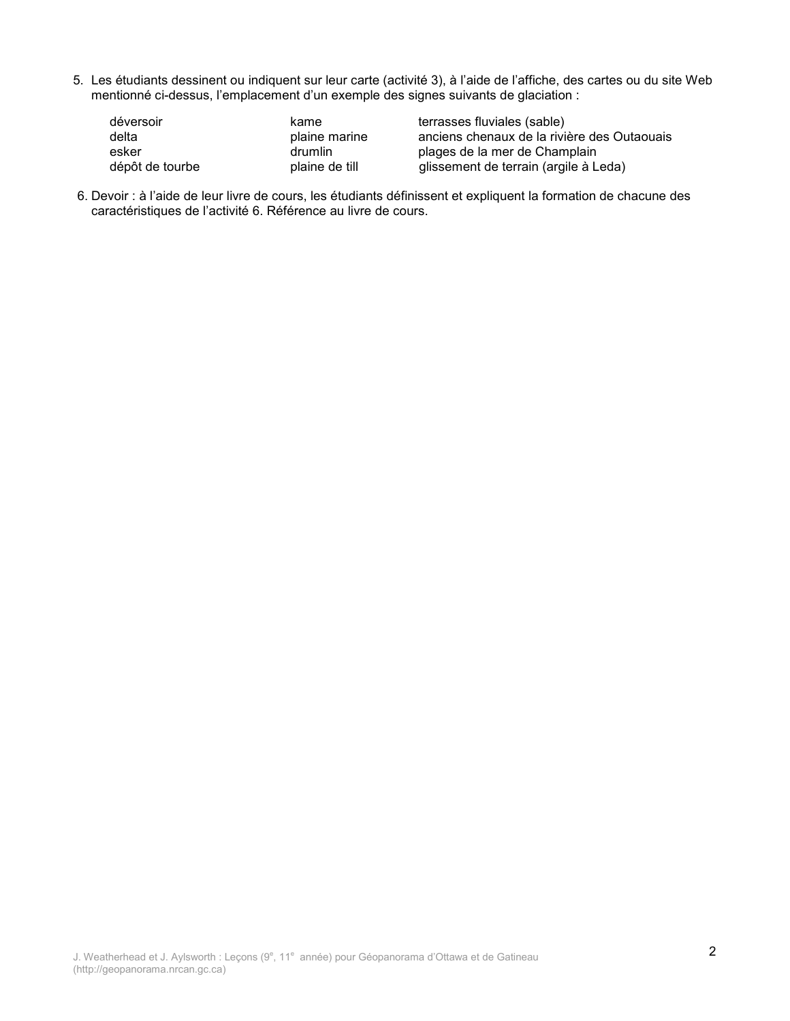5. Les étudiants dessinent ou indiquent sur leur carte (activité 3), à l'aide de l'affiche, des cartes ou du site Web mentionné ci-dessus, l'emplacement d'un exemple des signes suivants de glaciation :

| déversoir       | kame           | terrasses fluviales (sable)                 |
|-----------------|----------------|---------------------------------------------|
| delta           | plaine marine  | anciens chenaux de la rivière des Outaouais |
| esker           | drumlin        | plages de la mer de Champlain               |
| dépôt de tourbe | plaine de till | glissement de terrain (argile à Leda)       |

6. Devoir : à l'aide de leur livre de cours, les étudiants définissent et expliquent la formation de chacune des caractéristiques de l'activité 6. Référence au livre de cours.